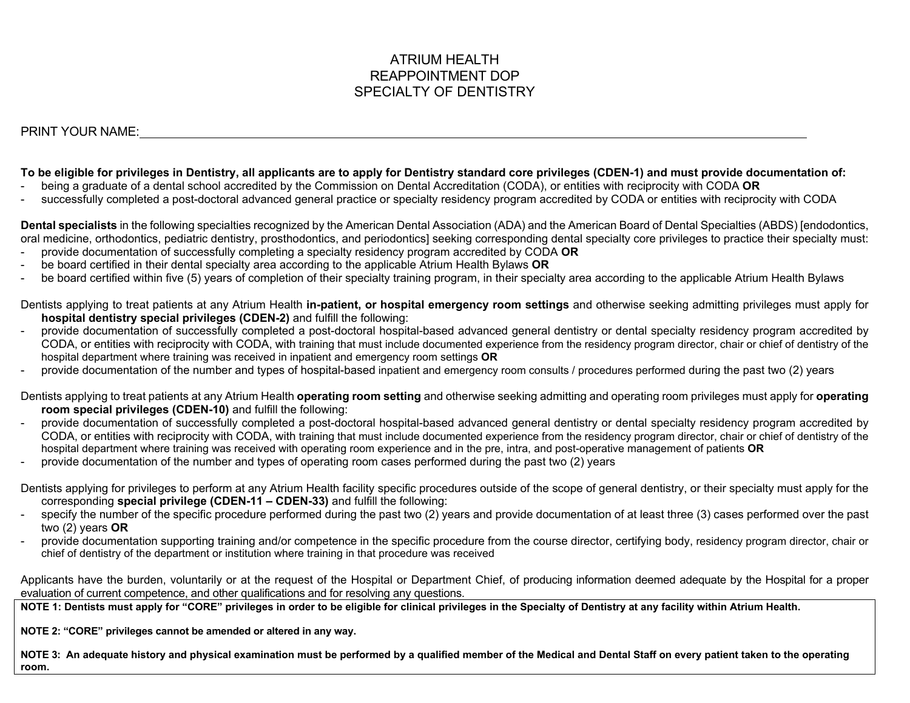# ATRIUM HEALTH REAPPOINTMENT DOP SPECIALTY OF DENTISTRY

PRINT YOUR NAME:

## **To be eligible for privileges in Dentistry, all applicants are to apply for Dentistry standard core privileges (CDEN-1) and must provide documentation of:**

- being a graduate of a dental school accredited by the Commission on Dental Accreditation (CODA), or entities with reciprocity with CODA **OR**
- successfully completed a post-doctoral advanced general practice or specialty residency program accredited by CODA or entities with reciprocity with CODA

**Dental specialists** in the following specialties recognized by the American Dental Association (ADA) and the American Board of Dental Specialties (ABDS) [endodontics, oral medicine, orthodontics, pediatric dentistry, prosthodontics, and periodontics] seeking corresponding dental specialty core privileges to practice their specialty must:

- provide documentation of successfully completing a specialty residency program accredited by CODA **OR**
- be board certified in their dental specialty area according to the applicable Atrium Health Bylaws **OR**
- be board certified within five (5) years of completion of their specialty training program, in their specialty area according to the applicable Atrium Health Bylaws

Dentists applying to treat patients at any Atrium Health **in-patient, or hospital emergency room settings** and otherwise seeking admitting privileges must apply for **hospital dentistry special privileges (CDEN-2)** and fulfill the following:

- provide documentation of successfully completed a post-doctoral hospital-based advanced general dentistry or dental specialty residency program accredited by CODA, or entities with reciprocity with CODA, with training that must include documented experience from the residency program director, chair or chief of dentistry of the hospital department where training was received in inpatient and emergency room settings **OR**
- provide documentation of the number and types of hospital-based inpatient and emergency room consults / procedures performed during the past two (2) years
- Dentists applying to treat patients at any Atrium Health **operating room setting** and otherwise seeking admitting and operating room privileges must apply for **operating room special privileges (CDEN-10)** and fulfill the following:
- provide documentation of successfully completed a post-doctoral hospital-based advanced general dentistry or dental specialty residency program accredited by CODA, or entities with reciprocity with CODA, with training that must include documented experience from the residency program director, chair or chief of dentistry of the hospital department where training was received with operating room experience and in the pre, intra, and post-operative management of patients **OR**
- provide documentation of the number and types of operating room cases performed during the past two (2) years
- Dentists applying for privileges to perform at any Atrium Health facility specific procedures outside of the scope of general dentistry, or their specialty must apply for the corresponding **special privilege (CDEN-11 – CDEN-33)** and fulfill the following:
- specify the number of the specific procedure performed during the past two (2) years and provide documentation of at least three (3) cases performed over the past two (2) years **OR**
- provide documentation supporting training and/or competence in the specific procedure from the course director, certifying body, residency program director, chair or chief of dentistry of the department or institution where training in that procedure was received

Applicants have the burden, voluntarily or at the request of the Hospital or Department Chief, of producing information deemed adequate by the Hospital for a proper evaluation of current competence, and other qualifications and for resolving any questions.

**NOTE 1: Dentists must apply for "CORE" privileges in order to be eligible for clinical privileges in the Specialty of Dentistry at any facility within Atrium Health.** 

**NOTE 2: "CORE" privileges cannot be amended or altered in any way.** 

**NOTE 3: An adequate history and physical examination must be performed by a qualified member of the Medical and Dental Staff on every patient taken to the operating room.**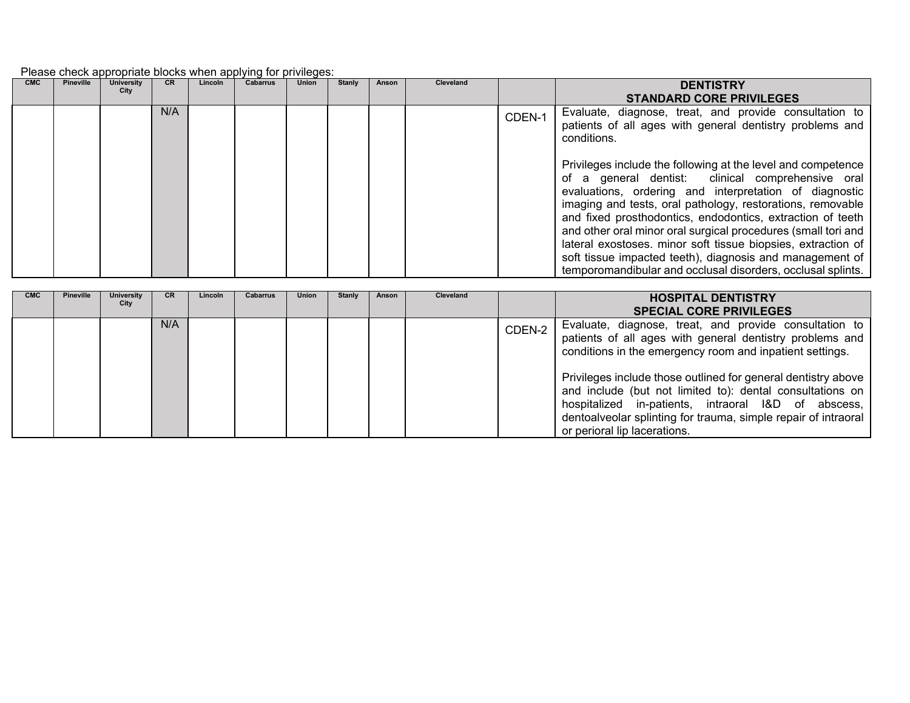## Please check appropriate blocks when applying for privileges:

| <b>CMC</b> | <b>Pineville</b> | <b>University</b><br>City | <b>CR</b> | Lincoln | <b>Cabarrus</b> | <b>Union</b> | Stanly | Anson | <b>Cleveland</b> |        | <b>DENTISTRY</b><br><b>STANDARD CORE PRIVILEGES</b>                                                                                                                                                                                                                                                                                                                                                                                                                                                                                                                 |
|------------|------------------|---------------------------|-----------|---------|-----------------|--------------|--------|-------|------------------|--------|---------------------------------------------------------------------------------------------------------------------------------------------------------------------------------------------------------------------------------------------------------------------------------------------------------------------------------------------------------------------------------------------------------------------------------------------------------------------------------------------------------------------------------------------------------------------|
|            |                  |                           | N/A       |         |                 |              |        |       |                  | CDEN-1 | Evaluate, diagnose, treat, and provide consultation to<br>patients of all ages with general dentistry problems and<br>conditions.                                                                                                                                                                                                                                                                                                                                                                                                                                   |
|            |                  |                           |           |         |                 |              |        |       |                  |        | Privileges include the following at the level and competence<br>of a general dentist: clinical comprehensive oral<br>evaluations, ordering and interpretation of diagnostic<br>imaging and tests, oral pathology, restorations, removable<br>and fixed prosthodontics, endodontics, extraction of teeth<br>and other oral minor oral surgical procedures (small tori and<br>lateral exostoses. minor soft tissue biopsies, extraction of<br>soft tissue impacted teeth), diagnosis and management of<br>temporomandibular and occlusal disorders, occlusal splints. |

| <b>CMC</b> | <b>Pineville</b> | University<br>City | <b>CR</b> | Lincoln | <b>Cabarrus</b> | <b>Union</b> | <b>Stanly</b> | <b>Anson</b> | <b>Cleveland</b> |        | <b>HOSPITAL DENTISTRY</b><br><b>SPECIAL CORE PRIVILEGES</b>                                                                                                                                                                                                                         |
|------------|------------------|--------------------|-----------|---------|-----------------|--------------|---------------|--------------|------------------|--------|-------------------------------------------------------------------------------------------------------------------------------------------------------------------------------------------------------------------------------------------------------------------------------------|
|            |                  |                    | N/A       |         |                 |              |               |              |                  | CDEN-2 | Evaluate, diagnose, treat, and provide consultation to<br>patients of all ages with general dentistry problems and<br>conditions in the emergency room and inpatient settings.                                                                                                      |
|            |                  |                    |           |         |                 |              |               |              |                  |        | Privileges include those outlined for general dentistry above<br>and include (but not limited to): dental consultations on<br>hospitalized in-patients, intraoral I&D of abscess,<br>dentoalveolar splinting for trauma, simple repair of intraoral<br>or perioral lip lacerations. |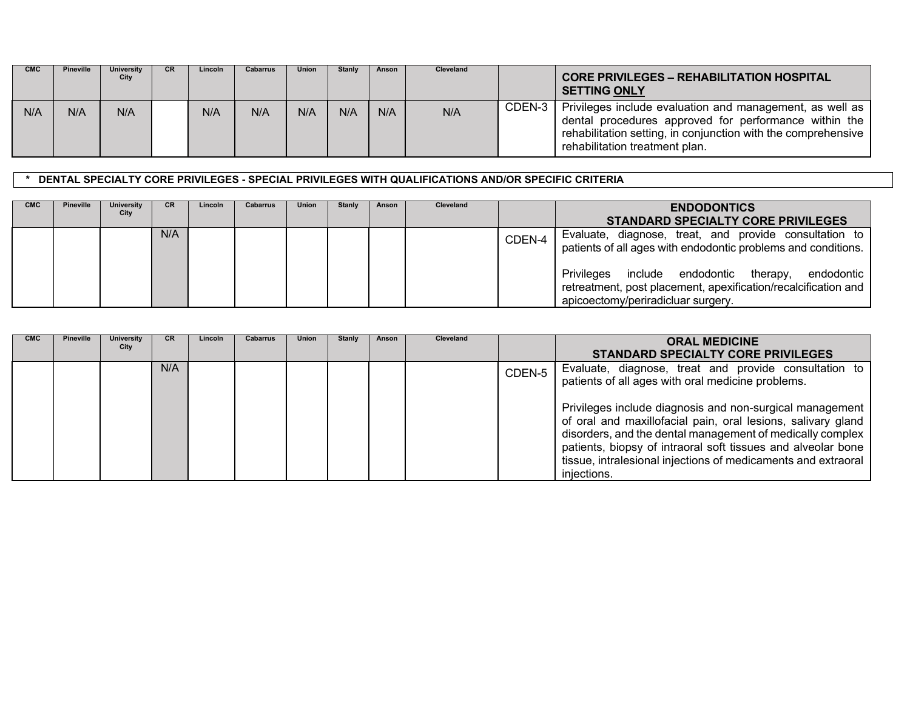| <b>CMC</b> | <b>Pineville</b> | University<br>City | <b>CR</b> | Lincoln | Cabarrus | <b>Union</b> | Stanly | Anson | <b>Cleveland</b> |        | <b>CORE PRIVILEGES - REHABILITATION HOSPITAL</b><br><b>SETTING ONLY</b>                                                                                                                                              |
|------------|------------------|--------------------|-----------|---------|----------|--------------|--------|-------|------------------|--------|----------------------------------------------------------------------------------------------------------------------------------------------------------------------------------------------------------------------|
| N/A        | N/A              | N/A                |           | N/A     | N/A      | N/A          | N/A    | N/A   | N/A              | CDEN-3 | Privileges include evaluation and management, as well as<br>dental procedures approved for performance within the<br>rehabilitation setting, in conjunction with the comprehensive<br>rehabilitation treatment plan. |

# **\* DENTAL SPECIALTY CORE PRIVILEGES - SPECIAL PRIVILEGES WITH QUALIFICATIONS AND/OR SPECIFIC CRITERIA**

| <b>CMC</b> | <b>Pineville</b> | University<br>City | <b>CR</b> | Lincoln | <b>Cabarrus</b> | Union | Stanly | Anson | Cleveland |        | <b>ENDODONTICS</b><br><b>STANDARD SPECIALTY CORE PRIVILEGES</b>                                                                                              |
|------------|------------------|--------------------|-----------|---------|-----------------|-------|--------|-------|-----------|--------|--------------------------------------------------------------------------------------------------------------------------------------------------------------|
|            |                  |                    | N/A       |         |                 |       |        |       |           | CDEN-4 | Evaluate, diagnose, treat, and provide consultation to<br>patients of all ages with endodontic problems and conditions.                                      |
|            |                  |                    |           |         |                 |       |        |       |           |        | Privileges include endodontic therapy,<br>endodontic<br>retreatment, post placement, apexification/recalcification and<br>apicoectomy/periradicluar surgery. |

| <b>CMC</b> | <b>Pineville</b> | University<br>City | CR. | Lincoln | <b>Cabarrus</b> | <b>Union</b> | Stanly | Anson | Cleveland |        | <b>ORAL MEDICINE</b><br>STANDARD SPECIALTY CORE PRIVILEGES                                                                                                                                                                                                                                                                            |
|------------|------------------|--------------------|-----|---------|-----------------|--------------|--------|-------|-----------|--------|---------------------------------------------------------------------------------------------------------------------------------------------------------------------------------------------------------------------------------------------------------------------------------------------------------------------------------------|
|            |                  |                    | N/A |         |                 |              |        |       |           | CDEN-5 | Evaluate, diagnose, treat and provide consultation to<br>patients of all ages with oral medicine problems.                                                                                                                                                                                                                            |
|            |                  |                    |     |         |                 |              |        |       |           |        | Privileges include diagnosis and non-surgical management<br>of oral and maxillofacial pain, oral lesions, salivary gland<br>disorders, and the dental management of medically complex<br>patients, biopsy of intraoral soft tissues and alveolar bone<br>tissue, intralesional injections of medicaments and extraoral<br>injections. |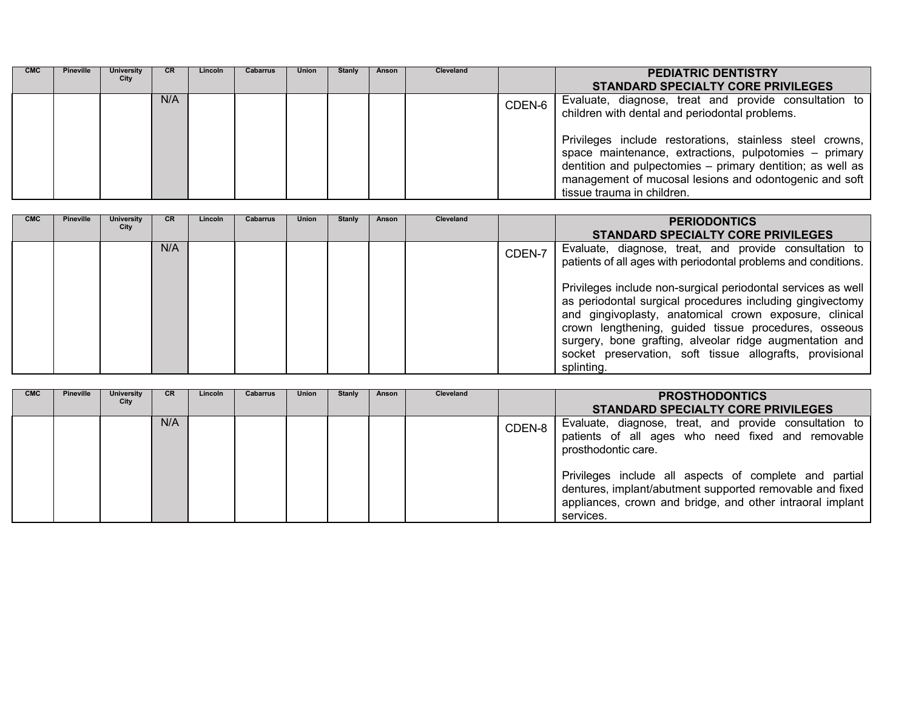| <b>CMC</b> | <b>Pineville</b> | <b>University</b><br>City | CR. | Lincoln | <b>Cabarrus</b> | <b>Union</b> | Stanly | Anson | <b>Cleveland</b> |        | <b>PEDIATRIC DENTISTRY</b><br><b>STANDARD SPECIALTY CORE PRIVILEGES</b>                                                                                                                                                                                                                                                                                                            |
|------------|------------------|---------------------------|-----|---------|-----------------|--------------|--------|-------|------------------|--------|------------------------------------------------------------------------------------------------------------------------------------------------------------------------------------------------------------------------------------------------------------------------------------------------------------------------------------------------------------------------------------|
|            |                  |                           | N/A |         |                 |              |        |       |                  | CDEN-6 | Evaluate, diagnose, treat and provide consultation to<br>children with dental and periodontal problems.<br>Privileges include restorations, stainless steel crowns,<br>space maintenance, extractions, pulpotomies - primary<br>dentition and pulpectomies - primary dentition; as well as<br>management of mucosal lesions and odontogenic and soft<br>tissue trauma in children. |

| <b>CMC</b> | <b>Pineville</b> | <b>University</b><br>City | <b>CR</b> | Lincoln | <b>Cabarrus</b> | Union | Stanly | Anson | <b>Cleveland</b> |        | <b>PERIODONTICS</b><br><b>STANDARD SPECIALTY CORE PRIVILEGES</b>                                                                                                                                                                                                                                                                                                        |
|------------|------------------|---------------------------|-----------|---------|-----------------|-------|--------|-------|------------------|--------|-------------------------------------------------------------------------------------------------------------------------------------------------------------------------------------------------------------------------------------------------------------------------------------------------------------------------------------------------------------------------|
|            |                  |                           | N/A       |         |                 |       |        |       |                  | CDEN-7 | Evaluate, diagnose, treat, and provide consultation to<br>patients of all ages with periodontal problems and conditions.<br>Privileges include non-surgical periodontal services as well<br>as periodontal surgical procedures including gingivectomy<br>and gingivoplasty, anatomical crown exposure, clinical<br>crown lengthening, guided tissue procedures, osseous |
|            |                  |                           |           |         |                 |       |        |       |                  |        | surgery, bone grafting, alveolar ridge augmentation and<br>socket preservation, soft tissue allografts, provisional<br>splinting.                                                                                                                                                                                                                                       |

| <b>CMC</b> | <b>Pineville</b> | <b>University</b><br>City | <b>CR</b> | Lincoln | <b>Cabarrus</b> | <b>Union</b> | Stanly | Anson | Cleveland |        | <b>PROSTHODONTICS</b><br><b>STANDARD SPECIALTY CORE PRIVILEGES</b>                                                                                                                                                                                                                                                                 |
|------------|------------------|---------------------------|-----------|---------|-----------------|--------------|--------|-------|-----------|--------|------------------------------------------------------------------------------------------------------------------------------------------------------------------------------------------------------------------------------------------------------------------------------------------------------------------------------------|
|            |                  |                           | N/A       |         |                 |              |        |       |           | CDEN-8 | Evaluate, diagnose, treat, and provide consultation to<br>patients of all ages who need fixed and removable<br>prosthodontic care.<br>Privileges include all aspects of complete and partial<br>dentures, implant/abutment supported removable and fixed<br>appliances, crown and bridge, and other intraoral implant<br>services. |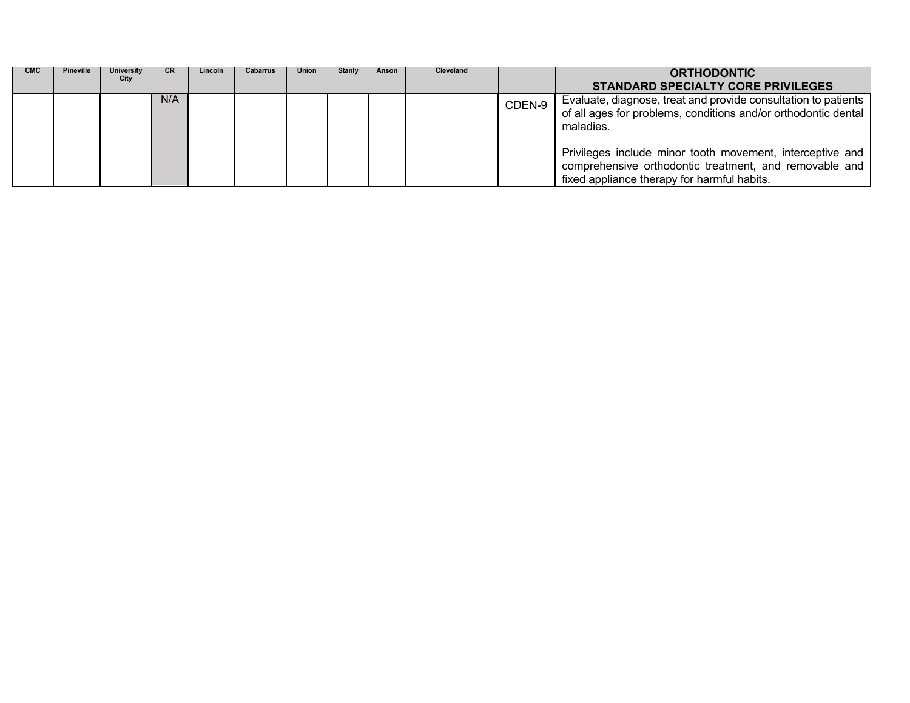| <b>CMC</b> | <b>Pineville</b> | <b>University</b><br>City | <b>CR</b> | Lincoln | <b>Cabarrus</b> | <b>Union</b> | <b>Stanly</b> | Anson | Cleveland |        | <b>ORTHODONTIC</b>                                                                                                                                                 |
|------------|------------------|---------------------------|-----------|---------|-----------------|--------------|---------------|-------|-----------|--------|--------------------------------------------------------------------------------------------------------------------------------------------------------------------|
|            |                  |                           |           |         |                 |              |               |       |           |        | <b>STANDARD SPECIALTY CORE PRIVILEGES</b>                                                                                                                          |
|            |                  |                           | N/A       |         |                 |              |               |       |           | CDEN-9 | Evaluate, diagnose, treat and provide consultation to patients<br>of all ages for problems, conditions and/or orthodontic dental<br>maladies.                      |
|            |                  |                           |           |         |                 |              |               |       |           |        | Privileges include minor tooth movement, interceptive and<br>comprehensive orthodontic treatment, and removable and<br>fixed appliance therapy for harmful habits. |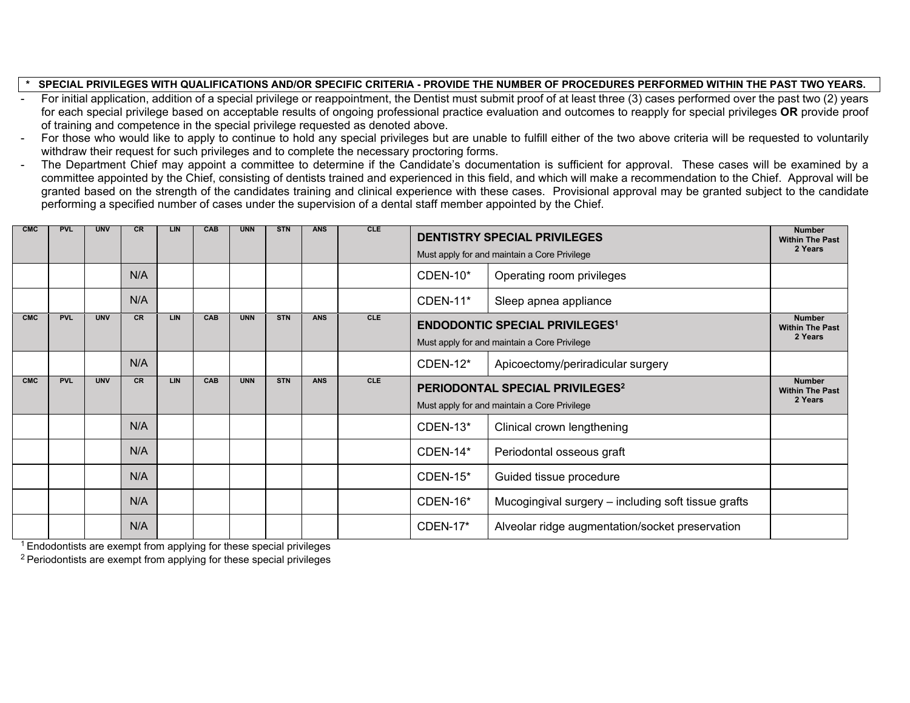#### SPECIAL PRIVILEGES WITH QUALIFICATIONS AND/OR SPECIFIC CRITERIA - PROVIDE THE NUMBER OF PROCEDURES PERFORMED WITHIN THE PAST TWO YEARS.

- For initial application, addition of a special privilege or reappointment, the Dentist must submit proof of at least three (3) cases performed over the past two (2) years for each special privilege based on acceptable results of ongoing professional practice evaluation and outcomes to reapply for special privileges **OR** provide proof of training and competence in the special privilege requested as denoted above.
- For those who would like to apply to continue to hold any special privileges but are unable to fulfill either of the two above criteria will be requested to voluntarily withdraw their request for such privileges and to complete the necessary proctoring forms.
- The Department Chief may appoint a committee to determine if the Candidate's documentation is sufficient for approval. These cases will be examined by a committee appointed by the Chief, consisting of dentists trained and experienced in this field, and which will make a recommendation to the Chief. Approval will be granted based on the strength of the candidates training and clinical experience with these cases. Provisional approval may be granted subject to the candidate performing a specified number of cases under the supervision of a dental staff member appointed by the Chief.

| <b>CMC</b> | <b>PVL</b> | <b>UNV</b> | <b>CR</b> | LIN        | CAB | <b>UNN</b> | <b>STN</b> | <b>ANS</b> | <b>CLE</b> | <b>DENTISTRY SPECIAL PRIVILEGES</b><br>Must apply for and maintain a Core Privilege         | <b>Number</b><br><b>Within The Past</b><br>2 Years                                    |                                                    |
|------------|------------|------------|-----------|------------|-----|------------|------------|------------|------------|---------------------------------------------------------------------------------------------|---------------------------------------------------------------------------------------|----------------------------------------------------|
|            |            |            | N/A       |            |     |            |            |            |            | $CDFN-10*$                                                                                  | Operating room privileges                                                             |                                                    |
|            |            |            | N/A       |            |     |            |            |            |            | <b>CDEN-11*</b>                                                                             | Sleep apnea appliance                                                                 |                                                    |
| <b>CMC</b> | <b>PVL</b> | <b>UNV</b> | <b>CR</b> | <b>LIN</b> | CAB | <b>UNN</b> | <b>STN</b> | <b>ANS</b> | <b>CLE</b> |                                                                                             | <b>ENDODONTIC SPECIAL PRIVILEGES1</b><br>Must apply for and maintain a Core Privilege | <b>Number</b><br><b>Within The Past</b><br>2 Years |
|            |            |            | N/A       |            |     |            |            |            |            | <b>CDEN-12*</b>                                                                             | Apicoectomy/periradicular surgery                                                     |                                                    |
| <b>CMC</b> | <b>PVL</b> | <b>UNV</b> | <b>CR</b> | <b>LIN</b> | CAB | <b>UNN</b> | <b>STN</b> | <b>ANS</b> | <b>CLE</b> | PERIODONTAL SPECIAL PRIVILEGES <sup>2</sup><br>Must apply for and maintain a Core Privilege |                                                                                       | <b>Number</b><br><b>Within The Past</b><br>2 Years |
|            |            |            | N/A       |            |     |            |            |            |            | <b>CDEN-13*</b>                                                                             | Clinical crown lengthening                                                            |                                                    |
|            |            |            | N/A       |            |     |            |            |            |            | CDEN-14*                                                                                    | Periodontal osseous graft                                                             |                                                    |
|            |            |            | N/A       |            |     |            |            |            |            | $CDFN-15*$                                                                                  | Guided tissue procedure                                                               |                                                    |
|            |            |            | N/A       |            |     |            |            |            |            | <b>CDEN-16*</b>                                                                             | Mucogingival surgery - including soft tissue grafts                                   |                                                    |
|            |            |            | N/A       |            |     |            |            |            |            | <b>CDEN-17*</b>                                                                             | Alveolar ridge augmentation/socket preservation                                       |                                                    |

 $1$  Endodontists are exempt from applying for these special privileges

 $2$  Periodontists are exempt from applying for these special privileges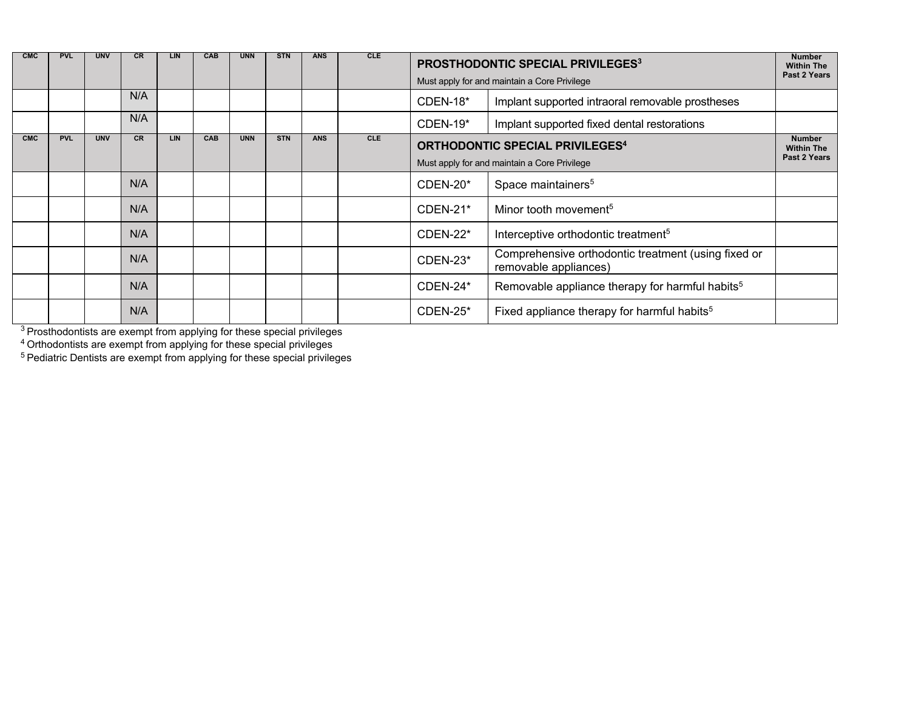| <b>CMC</b> | <b>PVL</b> | <b>UNV</b> | <b>CR</b> | LIN.       | <b>CAB</b> | <b>UNN</b> | <b>STN</b> | <b>ANS</b> | <b>CLE</b> | <b>PROSTHODONTIC SPECIAL PRIVILEGES3</b><br>Must apply for and maintain a Core Privilege | <b>Number</b><br><b>Within The</b><br>Past 2 Years                           |                                                    |
|------------|------------|------------|-----------|------------|------------|------------|------------|------------|------------|------------------------------------------------------------------------------------------|------------------------------------------------------------------------------|----------------------------------------------------|
|            |            |            | N/A       |            |            |            |            |            |            | $CDEN-18*$                                                                               | Implant supported intraoral removable prostheses                             |                                                    |
|            |            |            | N/A       |            |            |            |            |            |            | $CDFN-19*$                                                                               | Implant supported fixed dental restorations                                  |                                                    |
| <b>CMC</b> | <b>PVL</b> | <b>UNV</b> | <b>CR</b> | <b>LIN</b> | CAB        | <b>UNN</b> | <b>STN</b> | <b>ANS</b> | <b>CLE</b> | <b>ORTHODONTIC SPECIAL PRIVILEGES4</b><br>Must apply for and maintain a Core Privilege   |                                                                              | <b>Number</b><br><b>Within The</b><br>Past 2 Years |
|            |            |            | N/A       |            |            |            |            |            |            | $CDFN-20*$                                                                               | Space maintainers <sup>5</sup>                                               |                                                    |
|            |            |            | N/A       |            |            |            |            |            |            | $CDEN-21*$                                                                               | Minor tooth movement <sup>5</sup>                                            |                                                    |
|            |            |            | N/A       |            |            |            |            |            |            | CDEN-22*                                                                                 | Interceptive orthodontic treatment <sup>5</sup>                              |                                                    |
|            |            |            | N/A       |            |            |            |            |            |            | CDEN-23*                                                                                 | Comprehensive orthodontic treatment (using fixed or<br>removable appliances) |                                                    |
|            |            |            | N/A       |            |            |            |            |            |            | $CDEN-24*$                                                                               | Removable appliance therapy for harmful habits <sup>5</sup>                  |                                                    |
|            |            |            | N/A       |            |            |            |            |            |            | $CDFN-25*$                                                                               | Fixed appliance therapy for harmful habits <sup>5</sup>                      |                                                    |

 $^3$  Prosthodontists are exempt from applying for these special privileges

 $4$  Orthodontists are exempt from applying for these special privileges

 $^5$  Pediatric Dentists are exempt from applying for these special privileges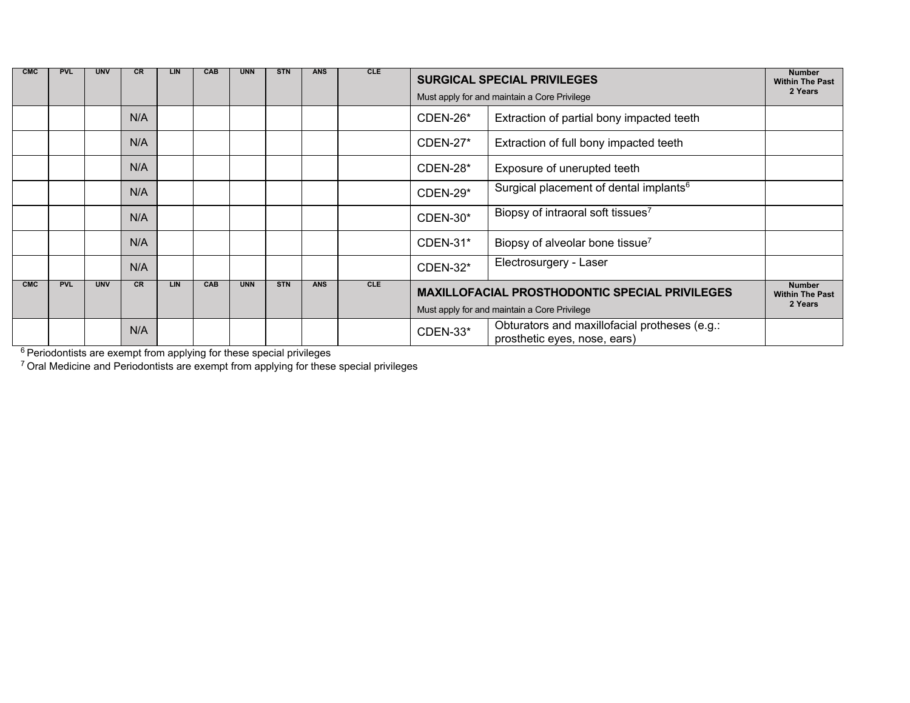| <b>CMC</b> | <b>PVL</b> | <b>UNV</b> | <b>CR</b> | LIN        | CAB | <b>UNN</b> | <b>STN</b> | <b>ANS</b> | <b>CLE</b> | <b>SURGICAL SPECIAL PRIVILEGES</b><br>Must apply for and maintain a Core Privilege               | <b>Number</b><br><b>Within The Past</b><br>2 Years |                                         |
|------------|------------|------------|-----------|------------|-----|------------|------------|------------|------------|--------------------------------------------------------------------------------------------------|----------------------------------------------------|-----------------------------------------|
|            |            |            | N/A       |            |     |            |            |            |            | CDEN-26*<br>Extraction of partial bony impacted teeth                                            |                                                    |                                         |
|            |            |            | N/A       |            |     |            |            |            |            | <b>CDEN-27*</b>                                                                                  | Extraction of full bony impacted teeth             |                                         |
|            |            |            | N/A       |            |     |            |            |            |            | CDEN-28*                                                                                         | Exposure of unerupted teeth                        |                                         |
|            |            |            | N/A       |            |     |            |            |            |            | CDEN-29*                                                                                         | Surgical placement of dental implants <sup>6</sup> |                                         |
|            |            |            | N/A       |            |     |            |            |            |            | <b>CDEN-30*</b>                                                                                  | Biopsy of intraoral soft tissues <sup>7</sup>      |                                         |
|            |            |            | N/A       |            |     |            |            |            |            | CDEN-31*                                                                                         | Biopsy of alveolar bone tissue <sup>7</sup>        |                                         |
|            |            |            | N/A       |            |     |            |            |            |            | <b>CDEN-32*</b>                                                                                  | Electrosurgery - Laser                             |                                         |
| <b>CMC</b> | <b>PVL</b> | <b>UNV</b> | <b>CR</b> | <b>LIN</b> | CAB | <b>UNN</b> | <b>STN</b> | <b>ANS</b> | <b>CLE</b> | <b>MAXILLOFACIAL PROSTHODONTIC SPECIAL PRIVILEGES</b>                                            |                                                    | <b>Number</b><br><b>Within The Past</b> |
|            |            |            |           |            |     |            |            |            |            | Must apply for and maintain a Core Privilege                                                     |                                                    | 2 Years                                 |
|            |            |            | N/A       |            |     |            |            |            |            | Obturators and maxillofacial protheses (e.g.:<br><b>CDEN-33*</b><br>prosthetic eyes, nose, ears) |                                                    |                                         |

 $^6$  Periodontists are exempt from applying for these special privileges

 $^7$  Oral Medicine and Periodontists are exempt from applying for these special privileges